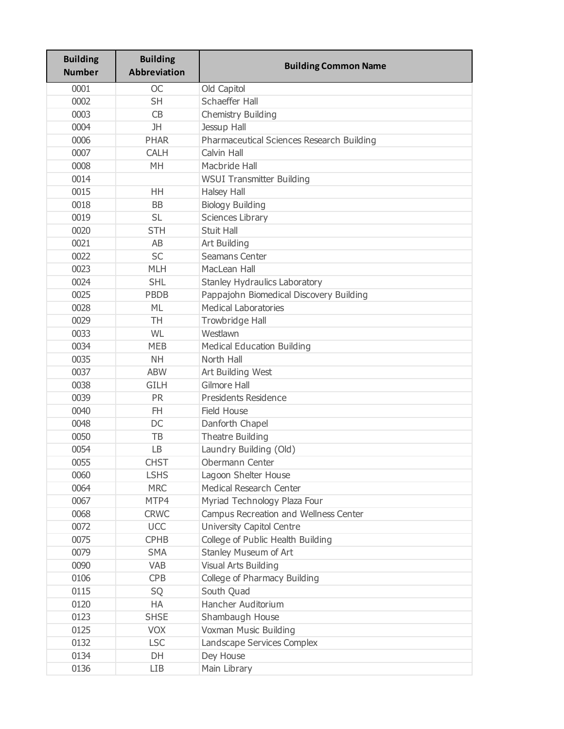| <b>Building</b><br><b>Number</b> | <b>Building</b><br><b>Abbreviation</b> | <b>Building Common Name</b>               |  |
|----------------------------------|----------------------------------------|-------------------------------------------|--|
| 0001                             | <b>OC</b>                              | Old Capitol                               |  |
| 0002                             | <b>SH</b>                              | <b>Schaeffer Hall</b>                     |  |
| 0003                             | CB                                     | <b>Chemistry Building</b>                 |  |
| 0004                             | JH                                     | Jessup Hall                               |  |
| 0006                             | <b>PHAR</b>                            | Pharmaceutical Sciences Research Building |  |
| 0007                             | <b>CALH</b>                            | Calvin Hall                               |  |
| 0008                             | MH                                     | Macbride Hall                             |  |
| 0014                             |                                        | <b>WSUI Transmitter Building</b>          |  |
| 0015                             | HH                                     | <b>Halsey Hall</b>                        |  |
| 0018                             | <b>BB</b>                              | <b>Biology Building</b>                   |  |
| 0019                             | <b>SL</b>                              | <b>Sciences Library</b>                   |  |
| 0020                             | <b>STH</b>                             | <b>Stuit Hall</b>                         |  |
| 0021                             | AB                                     | Art Building                              |  |
| 0022                             | <b>SC</b>                              | <b>Seamans Center</b>                     |  |
| 0023                             | <b>MLH</b>                             | MacLean Hall                              |  |
| 0024                             | <b>SHL</b>                             | <b>Stanley Hydraulics Laboratory</b>      |  |
| 0025                             | <b>PBDB</b>                            | Pappajohn Biomedical Discovery Building   |  |
| 0028                             | ML                                     | <b>Medical Laboratories</b>               |  |
| 0029                             | <b>TH</b>                              | Trowbridge Hall                           |  |
| 0033                             | <b>WL</b>                              | Westlawn                                  |  |
| 0034                             | <b>MEB</b>                             | <b>Medical Education Building</b>         |  |
| 0035                             | <b>NH</b>                              | North Hall                                |  |
| 0037                             | <b>ABW</b>                             | Art Building West                         |  |
| 0038                             | <b>GILH</b>                            | <b>Gilmore Hall</b>                       |  |
| 0039                             | <b>PR</b>                              | <b>Presidents Residence</b>               |  |
| 0040                             | FH.                                    | <b>Field House</b>                        |  |
| 0048                             | DC                                     | Danforth Chapel                           |  |
| 0050                             | TB                                     | Theatre Building                          |  |
| 0054                             | LB                                     | Laundry Building (Old)                    |  |
| 0055                             | <b>CHST</b>                            | Obermann Center                           |  |
| 0060                             | <b>LSHS</b>                            | Lagoon Shelter House                      |  |
| 0064                             | <b>MRC</b>                             | <b>Medical Research Center</b>            |  |
| 0067                             | MTP4                                   | Myriad Technology Plaza Four              |  |
| 0068                             | <b>CRWC</b>                            | Campus Recreation and Wellness Center     |  |
| 0072                             | <b>UCC</b>                             | University Capitol Centre                 |  |
| 0075                             | <b>CPHB</b>                            | College of Public Health Building         |  |
| 0079                             | <b>SMA</b>                             | Stanley Museum of Art                     |  |
| 0090                             | <b>VAB</b>                             | <b>Visual Arts Building</b>               |  |
| 0106                             | <b>CPB</b>                             | College of Pharmacy Building              |  |
| 0115                             | SQ                                     | South Quad                                |  |
| 0120                             | HA                                     | Hancher Auditorium                        |  |
| 0123                             | <b>SHSE</b>                            | Shambaugh House                           |  |
| 0125                             | <b>VOX</b>                             | Voxman Music Building                     |  |
| 0132                             | <b>LSC</b>                             | Landscape Services Complex                |  |
| 0134                             | DH                                     | Dey House                                 |  |
| 0136                             | <b>LIB</b>                             | Main Library                              |  |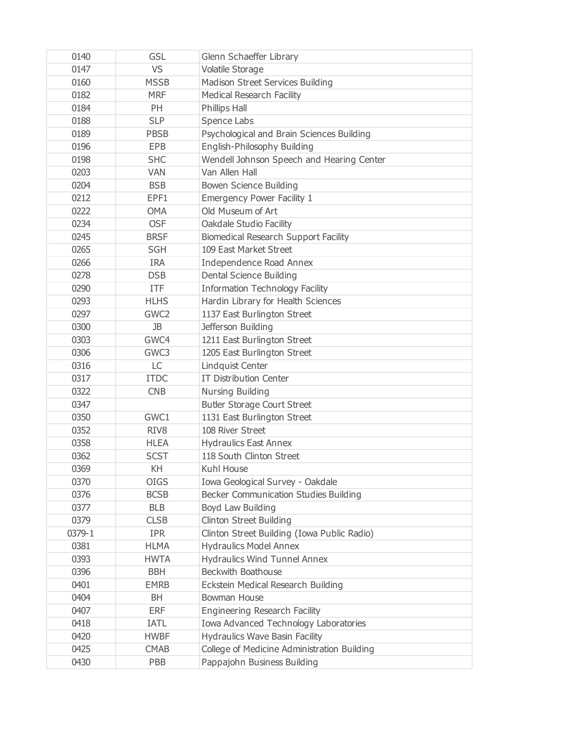| 0140   | <b>GSL</b>       | Glenn Schaeffer Library                     |  |
|--------|------------------|---------------------------------------------|--|
| 0147   | <b>VS</b>        | Volatile Storage                            |  |
| 0160   | <b>MSSB</b>      | Madison Street Services Building            |  |
| 0182   | <b>MRF</b>       | <b>Medical Research Facility</b>            |  |
| 0184   | PH               | <b>Phillips Hall</b>                        |  |
| 0188   | <b>SLP</b>       | Spence Labs                                 |  |
| 0189   | <b>PBSB</b>      | Psychological and Brain Sciences Building   |  |
| 0196   | <b>EPB</b>       | English-Philosophy Building                 |  |
| 0198   | <b>SHC</b>       | Wendell Johnson Speech and Hearing Center   |  |
| 0203   | <b>VAN</b>       | Van Allen Hall                              |  |
| 0204   | <b>BSB</b>       | <b>Bowen Science Building</b>               |  |
| 0212   | EPF1             | Emergency Power Facility 1                  |  |
| 0222   | OMA              | Old Museum of Art                           |  |
| 0234   | <b>OSF</b>       | Oakdale Studio Facility                     |  |
| 0245   | <b>BRSF</b>      | <b>Biomedical Research Support Facility</b> |  |
| 0265   | <b>SGH</b>       | 109 East Market Street                      |  |
| 0266   | <b>IRA</b>       | Independence Road Annex                     |  |
| 0278   | <b>DSB</b>       | <b>Dental Science Building</b>              |  |
| 0290   | <b>ITF</b>       | <b>Information Technology Facility</b>      |  |
| 0293   | <b>HLHS</b>      | Hardin Library for Health Sciences          |  |
| 0297   | GWC <sub>2</sub> | 1137 East Burlington Street                 |  |
| 0300   | JB               | Jefferson Building                          |  |
| 0303   | GWC4             | 1211 East Burlington Street                 |  |
| 0306   | GWC3             | 1205 East Burlington Street                 |  |
| 0316   | LC               | Lindquist Center                            |  |
| 0317   | <b>ITDC</b>      | <b>IT Distribution Center</b>               |  |
| 0322   | <b>CNB</b>       | Nursing Building                            |  |
| 0347   |                  | <b>Butler Storage Court Street</b>          |  |
| 0350   | GWC1             | 1131 East Burlington Street                 |  |
| 0352   | RIV <sub>8</sub> | 108 River Street                            |  |
| 0358   | <b>HLEA</b>      | <b>Hydraulics East Annex</b>                |  |
| 0362   | <b>SCST</b>      | 118 South Clinton Street                    |  |
| 0369   | KH               | Kuhl House                                  |  |
| 0370   | <b>OIGS</b>      | Iowa Geological Survey - Oakdale            |  |
| 0376   | <b>BCSB</b>      | Becker Communication Studies Building       |  |
| 0377   | <b>BLB</b>       | Boyd Law Building                           |  |
| 0379   | <b>CLSB</b>      | Clinton Street Building                     |  |
| 0379-1 | <b>IPR</b>       | Clinton Street Building (Iowa Public Radio) |  |
| 0381   | <b>HLMA</b>      | <b>Hydraulics Model Annex</b>               |  |
| 0393   | <b>HWTA</b>      | Hydraulics Wind Tunnel Annex                |  |
| 0396   | <b>BBH</b>       | <b>Beckwith Boathouse</b>                   |  |
| 0401   | <b>EMRB</b>      | Eckstein Medical Research Building          |  |
| 0404   | BH               | Bowman House                                |  |
| 0407   | <b>ERF</b>       | Engineering Research Facility               |  |
| 0418   | <b>IATL</b>      | Iowa Advanced Technology Laboratories       |  |
| 0420   | <b>HWBF</b>      | <b>Hydraulics Wave Basin Facility</b>       |  |
| 0425   | <b>CMAB</b>      | College of Medicine Administration Building |  |
| 0430   | PBB              | Pappajohn Business Building                 |  |
|        |                  |                                             |  |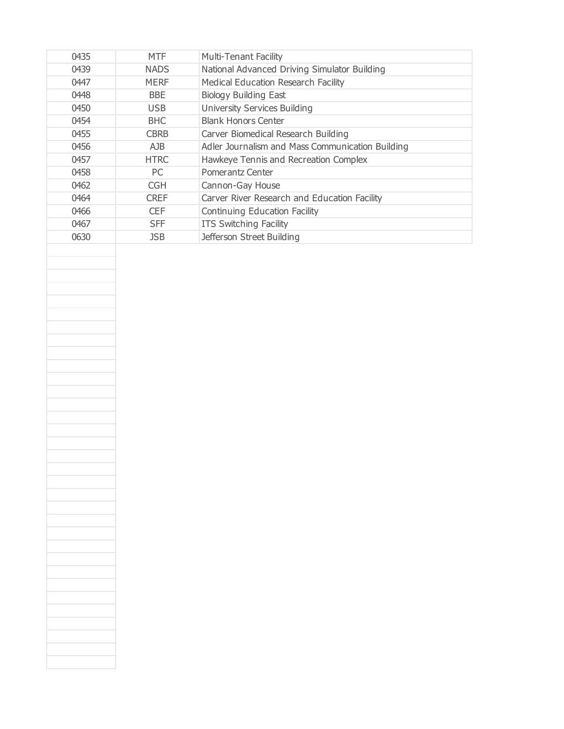| 0435 | MTF         | <b>Multi-Tenant Facility</b>                     |  |
|------|-------------|--------------------------------------------------|--|
| 0439 | <b>NADS</b> | National Advanced Driving Simulator Building     |  |
| 0447 | <b>MERF</b> | Medical Education Research Facility              |  |
| 0448 | <b>BBE</b>  | <b>Biology Building East</b>                     |  |
| 0450 | <b>USB</b>  | University Services Building                     |  |
| 0454 | <b>BHC</b>  | <b>Blank Honors Center</b>                       |  |
| 0455 | <b>CBRB</b> | Carver Biomedical Research Building              |  |
| 0456 | AJB         | Adler Journalism and Mass Communication Building |  |
| 0457 | <b>HTRC</b> | Hawkeye Tennis and Recreation Complex            |  |
| 0458 | PC.         | Pomerantz Center                                 |  |
| 0462 | <b>CGH</b>  | Cannon-Gay House                                 |  |
| 0464 | <b>CREF</b> | Carver River Research and Education Facility     |  |
| 0466 | <b>CEF</b>  | Continuing Education Facility                    |  |
| 0467 | <b>SFF</b>  | ITS Switching Facility                           |  |
| 0630 | JSB         | Jefferson Street Building                        |  |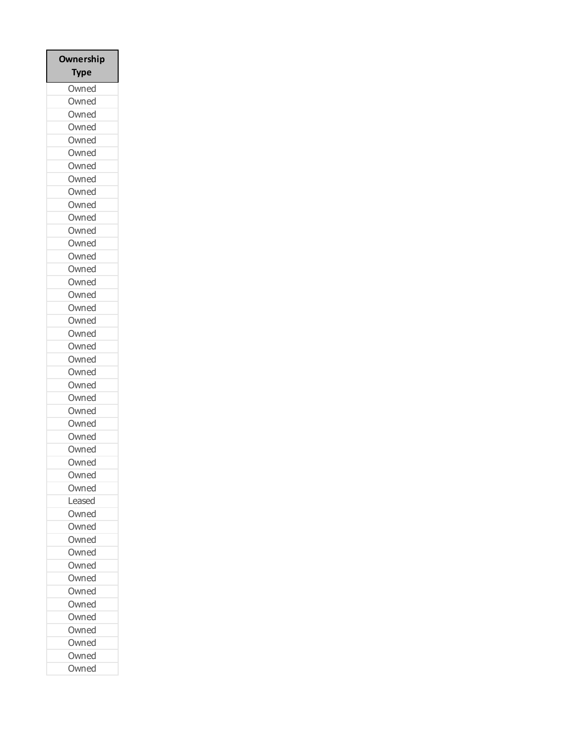| Ownership      |
|----------------|
| Type           |
| Owned          |
| Owned          |
| Owned          |
| Owned          |
| Owned          |
| Owned          |
| Owned          |
| Owned          |
| Owned          |
| Owned          |
| Owned          |
| Owned          |
| Owned          |
| Owned          |
| Owned          |
| Owned          |
| Owned          |
| Owned          |
| Owned          |
| Owned          |
| Owned          |
| Owned<br>Owned |
| Owned          |
| Owned          |
| Owned          |
| Owned          |
| Owned          |
| Owned          |
| Owned          |
| Owned          |
| Owned          |
| Leased         |
| Owned          |
| Owned          |
| Owned          |
| Owned          |
| Owned          |
| Owned          |
| Owned          |
| Owned          |
| Owned          |
| Owned          |
| Owned          |
| Owned          |
| Owned          |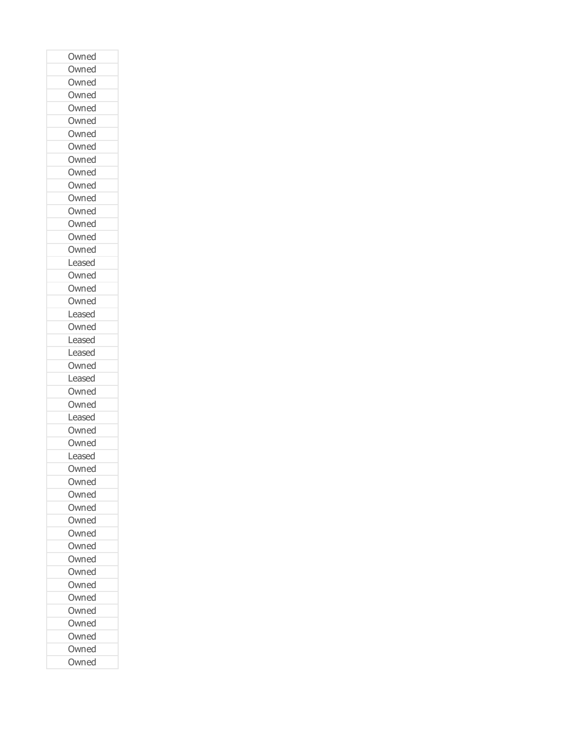| Owned  |
|--------|
| Owned  |
| Owned  |
| Owned  |
| Owned  |
| Owned  |
| Owned  |
| Owned  |
| Owned  |
| Owned  |
| Owned  |
| Owned  |
| Owned  |
| Owned  |
| Owned  |
| Owned  |
| Leased |
| Owned  |
| Owned  |
| Owned  |
| Leased |
| Owned  |
| Leased |
| Leased |
| Owned  |
| Leased |
| Owned  |
| Owned  |
| Leased |
|        |
| Owned  |
| Owned  |
| Leased |
| Owned  |
| Owned  |
| Owned  |
| Owned  |
| Owned  |
| Owned  |
| Owned  |
| Owned  |
| Owned  |
| Owned  |
| Owned  |
| Owned  |
| Owned  |
| Owned  |
| Owned  |
| Owned  |
|        |